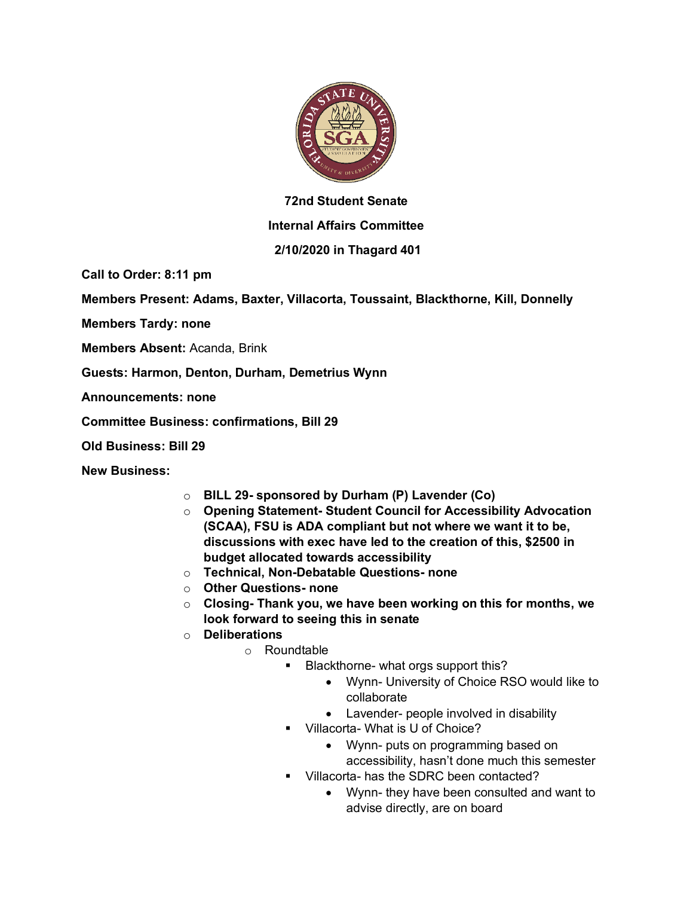

## **72nd Student Senate**

## **Internal Affairs Committee**

## **2/10/2020 in Thagard 401**

**Call to Order: 8:11 pm**

**Members Present: Adams, Baxter, Villacorta, Toussaint, Blackthorne, Kill, Donnelly**

**Members Tardy: none**

**Members Absent:** Acanda, Brink

**Guests: Harmon, Denton, Durham, Demetrius Wynn**

**Announcements: none**

**Committee Business: confirmations, Bill 29**

**Old Business: Bill 29**

**New Business:**

- o **BILL 29- sponsored by Durham (P) Lavender (Co)**
- o **Opening Statement- Student Council for Accessibility Advocation (SCAA), FSU is ADA compliant but not where we want it to be, discussions with exec have led to the creation of this, \$2500 in budget allocated towards accessibility**
- o **Technical, Non-Debatable Questions- none**
- o **Other Questions- none**
- o **Closing- Thank you, we have been working on this for months, we look forward to seeing this in senate**
- o **Deliberations**
	- o Roundtable
		- Blackthorne- what orgs support this?
			- Wynn- University of Choice RSO would like to collaborate
			- Lavender- people involved in disability
		- § Villacorta- What is U of Choice?
			- Wynn- puts on programming based on accessibility, hasn't done much this semester
		- § Villacorta- has the SDRC been contacted?
			- Wynn- they have been consulted and want to advise directly, are on board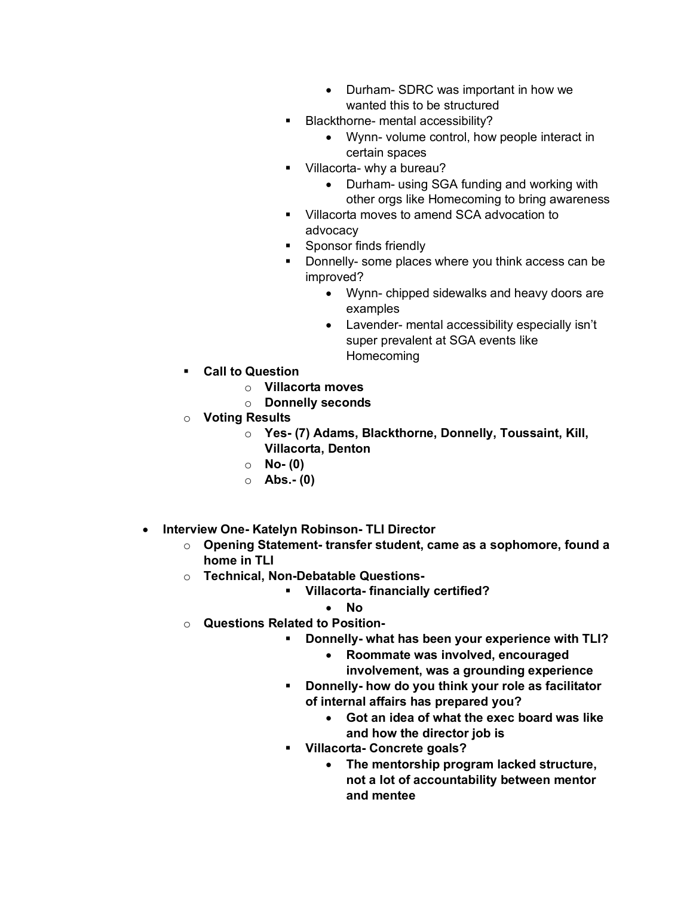- Durham- SDRC was important in how we wanted this to be structured
- § Blackthorne- mental accessibility?
	- Wynn- volume control, how people interact in certain spaces
- Villacorta- why a bureau?
	- Durham- using SGA funding and working with other orgs like Homecoming to bring awareness
- Villacorta moves to amend SCA advocation to advocacy
- **•** Sponsor finds friendly
- Donnelly- some places where you think access can be improved?
	- Wynn- chipped sidewalks and heavy doors are examples
	- Lavender- mental accessibility especially isn't super prevalent at SGA events like **Homecoming**
- § **Call to Question**
	- o **Villacorta moves**
	- o **Donnelly seconds**
- o **Voting Results**
	- o **Yes- (7) Adams, Blackthorne, Donnelly, Toussaint, Kill, Villacorta, Denton**
	- o **No- (0)**
	- o **Abs.- (0)**
- **Interview One- Katelyn Robinson- TLI Director**
	- o **Opening Statement- transfer student, came as a sophomore, found a home in TLI**
	- o **Technical, Non-Debatable Questions-**
		- § **Villacorta- financially certified?**
			- **No**
	- o **Questions Related to Position-**
		- § **Donnelly- what has been your experience with TLI?**
			- **Roommate was involved, encouraged involvement, was a grounding experience**
		- § **Donnelly- how do you think your role as facilitator of internal affairs has prepared you?**
			- **Got an idea of what the exec board was like and how the director job is**
		- § **Villacorta- Concrete goals?**
			- **The mentorship program lacked structure, not a lot of accountability between mentor and mentee**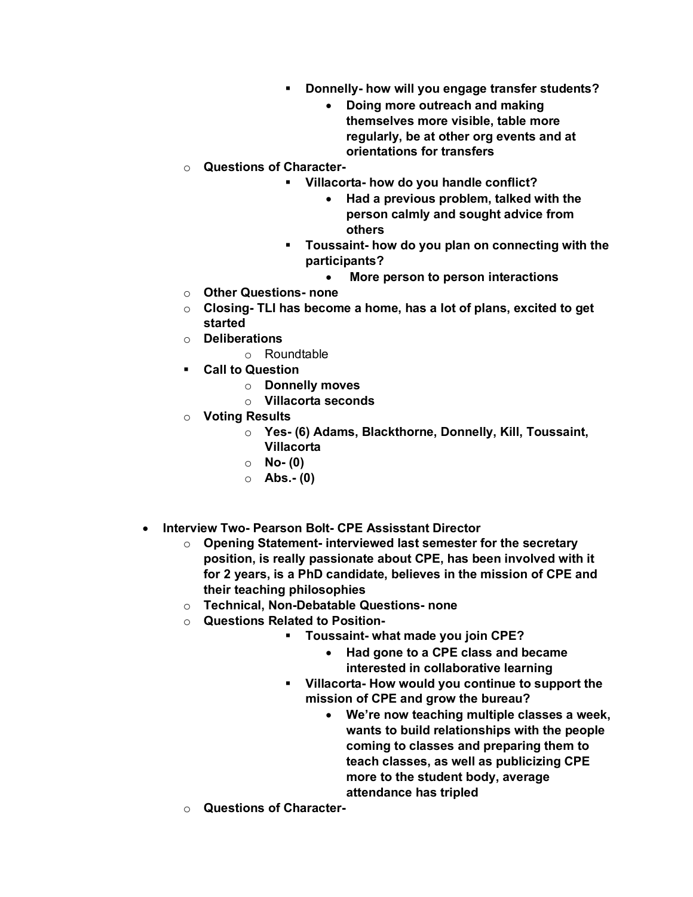- § **Donnelly- how will you engage transfer students?**
	- **Doing more outreach and making themselves more visible, table more regularly, be at other org events and at orientations for transfers**
- o **Questions of Character-**
	- § **Villacorta- how do you handle conflict?**
		- **Had a previous problem, talked with the person calmly and sought advice from others**
		- § **Toussaint- how do you plan on connecting with the participants?**
			- **More person to person interactions**
- o **Other Questions- none**
- o **Closing- TLI has become a home, has a lot of plans, excited to get started**
- o **Deliberations**
	- o Roundtable
- § **Call to Question**
	- o **Donnelly moves**
	- o **Villacorta seconds**
- o **Voting Results**
	- o **Yes- (6) Adams, Blackthorne, Donnelly, Kill, Toussaint, Villacorta**
	- o **No- (0)**
	- o **Abs.- (0)**
- **Interview Two- Pearson Bolt- CPE Assisstant Director**
	- o **Opening Statement- interviewed last semester for the secretary position, is really passionate about CPE, has been involved with it for 2 years, is a PhD candidate, believes in the mission of CPE and their teaching philosophies**
	- o **Technical, Non-Debatable Questions- none**
	- o **Questions Related to Position-**
		- § **Toussaint- what made you join CPE?**
			- **Had gone to a CPE class and became interested in collaborative learning**
		- § **Villacorta- How would you continue to support the mission of CPE and grow the bureau?**
			- **We're now teaching multiple classes a week, wants to build relationships with the people coming to classes and preparing them to teach classes, as well as publicizing CPE more to the student body, average attendance has tripled**
	- o **Questions of Character-**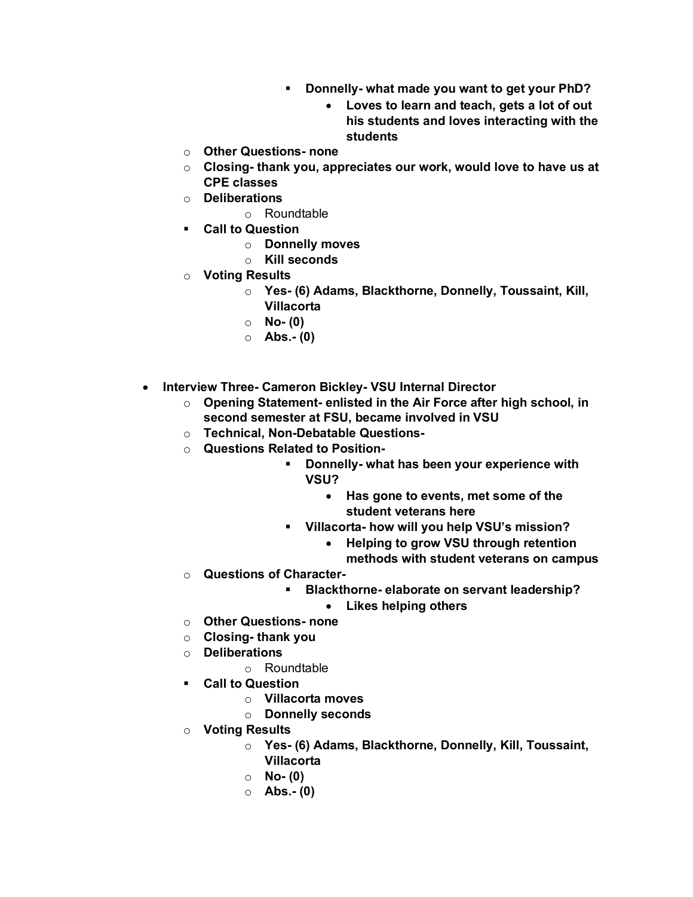- § **Donnelly- what made you want to get your PhD?**
	- **Loves to learn and teach, gets a lot of out his students and loves interacting with the students**
- o **Other Questions- none**
- o **Closing- thank you, appreciates our work, would love to have us at CPE classes**
- o **Deliberations**
	- o Roundtable
- § **Call to Question**
	- o **Donnelly moves**
	- o **Kill seconds**
- o **Voting Results**
	- o **Yes- (6) Adams, Blackthorne, Donnelly, Toussaint, Kill, Villacorta**
	- o **No- (0)**
	- o **Abs.- (0)**
- **Interview Three- Cameron Bickley- VSU Internal Director**
	- o **Opening Statement- enlisted in the Air Force after high school, in second semester at FSU, became involved in VSU**
	- o **Technical, Non-Debatable Questions-**
	- o **Questions Related to Position-**
		- § **Donnelly- what has been your experience with VSU?**
			- **Has gone to events, met some of the student veterans here**
		- § **Villacorta- how will you help VSU's mission?**
			- **Helping to grow VSU through retention** 
				- **methods with student veterans on campus**
	- o **Questions of Character-**
		- § **Blackthorne- elaborate on servant leadership?**
			- **Likes helping others**
	- o **Other Questions- none**
	- o **Closing- thank you**
	- o **Deliberations**
		- o Roundtable
	- § **Call to Question**
		- o **Villacorta moves**
		- o **Donnelly seconds**
	- o **Voting Results**
		- o **Yes- (6) Adams, Blackthorne, Donnelly, Kill, Toussaint, Villacorta**
		- o **No- (0)**
		- o **Abs.- (0)**